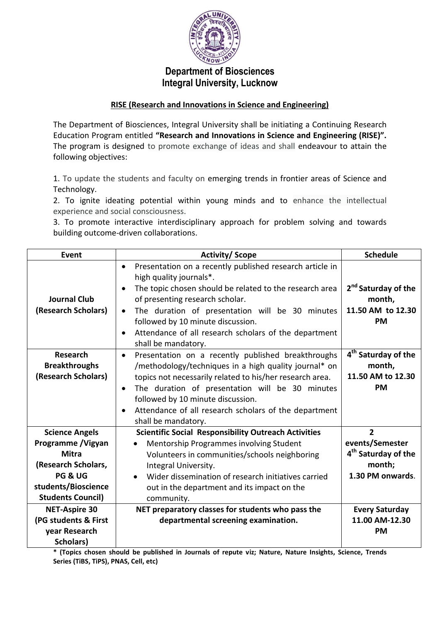

# **Department of Biosciences Integral University, Lucknow**

### **RISE (Research and Innovations in Science and Engineering)**

The Department of Biosciences, Integral University shall be initiating a Continuing Research Education Program entitled **"Research and Innovations in Science and Engineering (RISE)".** The program is designed to promote exchange of ideas and shall endeavour to attain the following objectives:

1. To update the students and faculty on emerging trends in frontier areas of Science and Technology.

2. To ignite ideating potential within young minds and to enhance the intellectual experience and social consciousness.

3. To promote interactive interdisciplinary approach for problem solving and towards building outcome-driven collaborations.

| Event                                                                                                                                                       | <b>Activity/Scope</b>                                                                                                                                                                                                                                                                                                                                                                                         | <b>Schedule</b>                                                                                    |
|-------------------------------------------------------------------------------------------------------------------------------------------------------------|---------------------------------------------------------------------------------------------------------------------------------------------------------------------------------------------------------------------------------------------------------------------------------------------------------------------------------------------------------------------------------------------------------------|----------------------------------------------------------------------------------------------------|
| <b>Journal Club</b><br>(Research Scholars)                                                                                                                  | Presentation on a recently published research article in<br>$\bullet$<br>high quality journals*.<br>The topic chosen should be related to the research area<br>$\bullet$<br>of presenting research scholar.<br>The duration of presentation will be 30 minutes<br>$\bullet$<br>followed by 10 minute discussion.<br>Attendance of all research scholars of the department<br>$\bullet$<br>shall be mandatory. | 2 <sup>nd</sup> Saturday of the<br>month,<br>11.50 AM to 12.30<br><b>PM</b>                        |
| <b>Research</b><br><b>Breakthroughs</b><br>(Research Scholars)                                                                                              | Presentation on a recently published breakthroughs<br>$\bullet$<br>/methodology/techniques in a high quality journal* on<br>topics not necessarily related to his/her research area.<br>The duration of presentation will be 30 minutes<br>$\bullet$<br>followed by 10 minute discussion.<br>Attendance of all research scholars of the department<br>$\bullet$<br>shall be mandatory.                        | 4 <sup>th</sup> Saturday of the<br>month,<br>11.50 AM to 12.30<br><b>PM</b>                        |
| <b>Science Angels</b><br>Programme / Vigyan<br><b>Mitra</b><br>(Research Scholars,<br><b>PG &amp; UG</b><br>students/Bioscience<br><b>Students Council)</b> | <b>Scientific Social Responsibility Outreach Activities</b><br>Mentorship Programmes involving Student<br>Volunteers in communities/schools neighboring<br>Integral University.<br>Wider dissemination of research initiatives carried<br>$\bullet$<br>out in the department and its impact on the<br>community.                                                                                              | $\overline{2}$<br>events/Semester<br>4 <sup>th</sup> Saturday of the<br>month;<br>1.30 PM onwards. |
| <b>NET-Aspire 30</b><br>(PG students & First<br>year Research<br>Scholars)                                                                                  | NET preparatory classes for students who pass the<br>departmental screening examination.                                                                                                                                                                                                                                                                                                                      | <b>Every Saturday</b><br>11.00 AM-12.30<br><b>PM</b>                                               |

**\* (Topics chosen should be published in Journals of repute viz; Nature, Nature Insights, Science, Trends Series (TiBS, TiPS), PNAS, Cell, etc)**